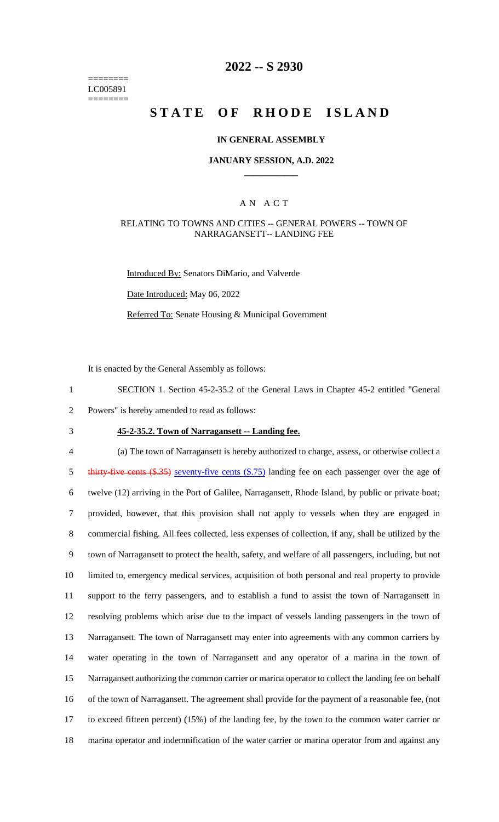======== LC005891 ========

### **2022 -- S 2930**

# **STATE OF RHODE ISLAND**

#### **IN GENERAL ASSEMBLY**

#### **JANUARY SESSION, A.D. 2022 \_\_\_\_\_\_\_\_\_\_\_\_**

### A N A C T

#### RELATING TO TOWNS AND CITIES -- GENERAL POWERS -- TOWN OF NARRAGANSETT-- LANDING FEE

Introduced By: Senators DiMario, and Valverde

Date Introduced: May 06, 2022

Referred To: Senate Housing & Municipal Government

It is enacted by the General Assembly as follows:

1 SECTION 1. Section 45-2-35.2 of the General Laws in Chapter 45-2 entitled "General

2 Powers" is hereby amended to read as follows:

3 **45-2-35.2. Town of Narragansett -- Landing fee.**

 (a) The town of Narragansett is hereby authorized to charge, assess, or otherwise collect a 5 thirty-five cents (\$.35) seventy-five cents (\$.75) landing fee on each passenger over the age of twelve (12) arriving in the Port of Galilee, Narragansett, Rhode Island, by public or private boat; provided, however, that this provision shall not apply to vessels when they are engaged in commercial fishing. All fees collected, less expenses of collection, if any, shall be utilized by the town of Narragansett to protect the health, safety, and welfare of all passengers, including, but not limited to, emergency medical services, acquisition of both personal and real property to provide support to the ferry passengers, and to establish a fund to assist the town of Narragansett in resolving problems which arise due to the impact of vessels landing passengers in the town of Narragansett. The town of Narragansett may enter into agreements with any common carriers by water operating in the town of Narragansett and any operator of a marina in the town of Narragansett authorizing the common carrier or marina operator to collect the landing fee on behalf of the town of Narragansett. The agreement shall provide for the payment of a reasonable fee, (not to exceed fifteen percent) (15%) of the landing fee, by the town to the common water carrier or marina operator and indemnification of the water carrier or marina operator from and against any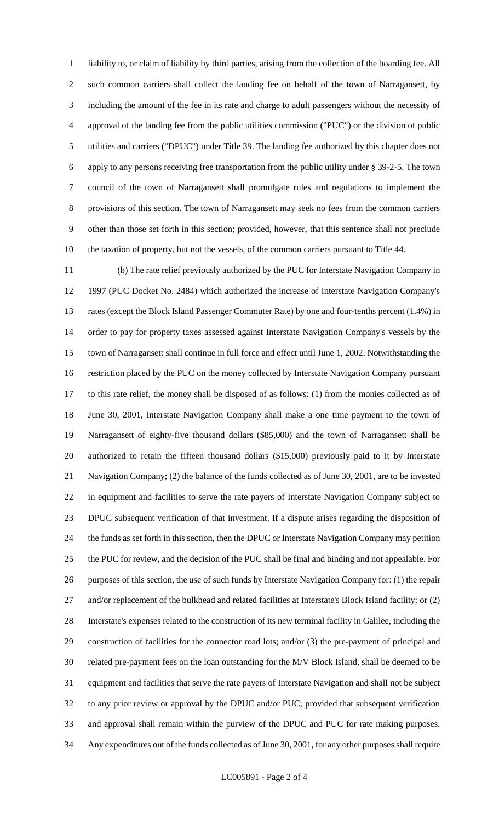liability to, or claim of liability by third parties, arising from the collection of the boarding fee. All such common carriers shall collect the landing fee on behalf of the town of Narragansett, by including the amount of the fee in its rate and charge to adult passengers without the necessity of approval of the landing fee from the public utilities commission ("PUC") or the division of public utilities and carriers ("DPUC") under Title 39. The landing fee authorized by this chapter does not apply to any persons receiving free transportation from the public utility under § 39-2-5. The town council of the town of Narragansett shall promulgate rules and regulations to implement the provisions of this section. The town of Narragansett may seek no fees from the common carriers other than those set forth in this section; provided, however, that this sentence shall not preclude the taxation of property, but not the vessels, of the common carriers pursuant to Title 44.

 (b) The rate relief previously authorized by the PUC for Interstate Navigation Company in 1997 (PUC Docket No. 2484) which authorized the increase of Interstate Navigation Company's rates (except the Block Island Passenger Commuter Rate) by one and four-tenths percent (1.4%) in order to pay for property taxes assessed against Interstate Navigation Company's vessels by the town of Narragansett shall continue in full force and effect until June 1, 2002. Notwithstanding the restriction placed by the PUC on the money collected by Interstate Navigation Company pursuant to this rate relief, the money shall be disposed of as follows: (1) from the monies collected as of June 30, 2001, Interstate Navigation Company shall make a one time payment to the town of Narragansett of eighty-five thousand dollars (\$85,000) and the town of Narragansett shall be authorized to retain the fifteen thousand dollars (\$15,000) previously paid to it by Interstate Navigation Company; (2) the balance of the funds collected as of June 30, 2001, are to be invested in equipment and facilities to serve the rate payers of Interstate Navigation Company subject to DPUC subsequent verification of that investment. If a dispute arises regarding the disposition of the funds as set forth in this section, then the DPUC or Interstate Navigation Company may petition the PUC for review, and the decision of the PUC shall be final and binding and not appealable. For purposes of this section, the use of such funds by Interstate Navigation Company for: (1) the repair 27 and/or replacement of the bulkhead and related facilities at Interstate's Block Island facility; or (2) Interstate's expenses related to the construction of its new terminal facility in Galilee, including the construction of facilities for the connector road lots; and/or (3) the pre-payment of principal and related pre-payment fees on the loan outstanding for the M/V Block Island, shall be deemed to be equipment and facilities that serve the rate payers of Interstate Navigation and shall not be subject to any prior review or approval by the DPUC and/or PUC; provided that subsequent verification and approval shall remain within the purview of the DPUC and PUC for rate making purposes. Any expenditures out of the funds collected as of June 30, 2001, for any other purposes shall require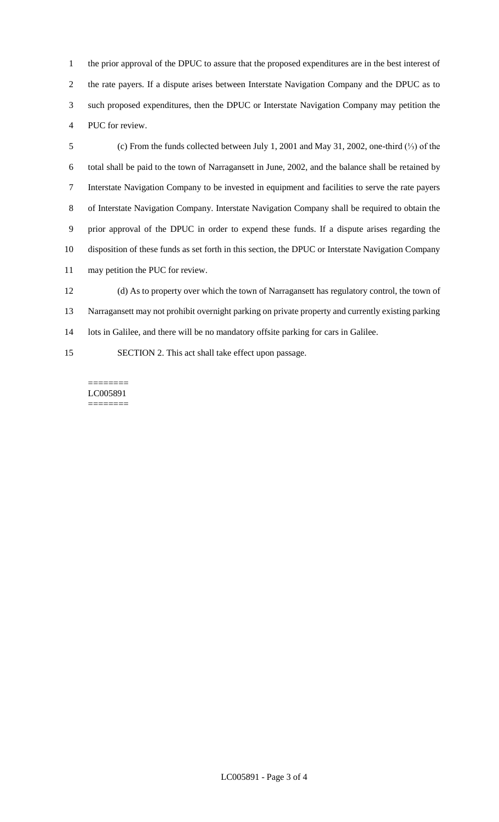the prior approval of the DPUC to assure that the proposed expenditures are in the best interest of the rate payers. If a dispute arises between Interstate Navigation Company and the DPUC as to such proposed expenditures, then the DPUC or Interstate Navigation Company may petition the PUC for review.

 (c) From the funds collected between July 1, 2001 and May 31, 2002, one-third (⅓) of the total shall be paid to the town of Narragansett in June, 2002, and the balance shall be retained by Interstate Navigation Company to be invested in equipment and facilities to serve the rate payers of Interstate Navigation Company. Interstate Navigation Company shall be required to obtain the prior approval of the DPUC in order to expend these funds. If a dispute arises regarding the disposition of these funds as set forth in this section, the DPUC or Interstate Navigation Company may petition the PUC for review.

 (d) As to property over which the town of Narragansett has regulatory control, the town of Narragansett may not prohibit overnight parking on private property and currently existing parking 14 lots in Galilee, and there will be no mandatory offsite parking for cars in Galilee.

SECTION 2. This act shall take effect upon passage.

======== LC005891 ========